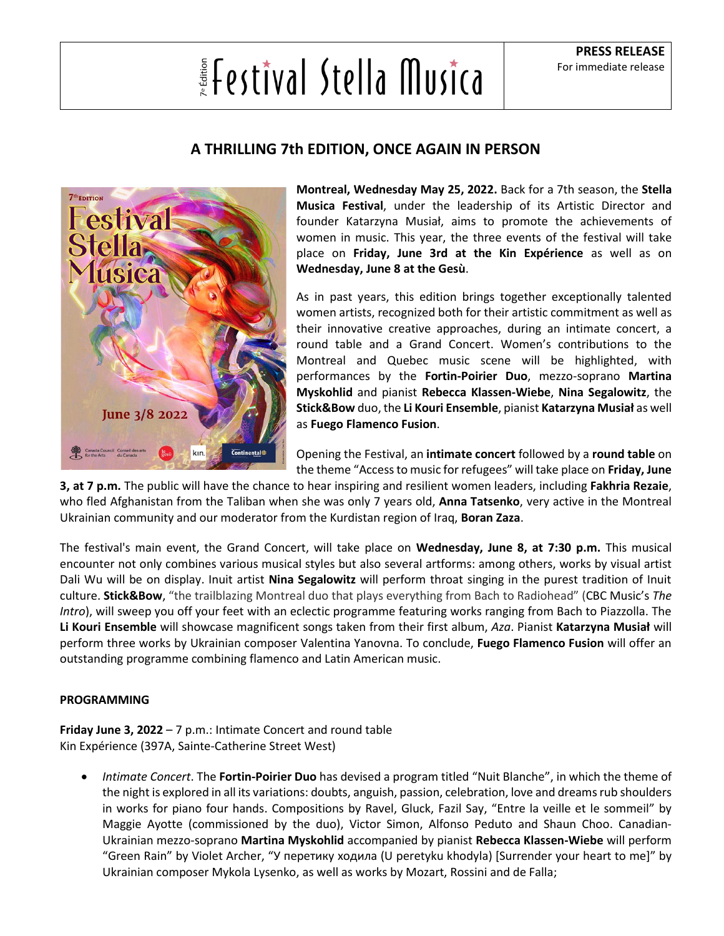## **Elestival Stella Musical**

## **A THRILLING 7th EDITION, ONCE AGAIN IN PERSON**



**Montreal, Wednesday May 25, 2022.** Back for a 7th season, the **Stella Musica Festival**, under the leadership of its Artistic Director and founder Katarzyna Musiał, aims to promote the achievements of women in music. This year, the three events of the festival will take place on **Friday, June 3rd at the Kin Expérience** as well as on **Wednesday, June 8 at the Gesù**.

As in past years, this edition brings together exceptionally talented women artists, recognized both for their artistic commitment as well as their innovative creative approaches, during an intimate concert, a round table and a Grand Concert. Women's contributions to the Montreal and Quebec music scene will be highlighted, with performances by the **Fortin-Poirier Duo**, mezzo-soprano **Martina Myskohlid** and pianist **Rebecca Klassen-Wiebe**, **Nina Segalowitz**, the **Stick&Bow** duo, the **Li Kouri Ensemble**, pianist **Katarzyna Musiał** as well as **Fuego Flamenco Fusion**.

Opening the Festival, an **intimate concert** followed by a **round table** on the theme "Access to music for refugees" will take place on **Friday, June** 

**3, at 7 p.m.** The public will have the chance to hear inspiring and resilient women leaders, including **Fakhria Rezaie**, who fled Afghanistan from the Taliban when she was only 7 years old, **Anna Tatsenko**, very active in the Montreal Ukrainian community and our moderator from the Kurdistan region of Iraq, **Boran Zaza**.

The festival's main event, the Grand Concert, will take place on **Wednesday, June 8, at 7:30 p.m.** This musical encounter not only combines various musical styles but also several artforms: among others, works by visual artist Dali Wu will be on display. Inuit artist **Nina Segalowitz** will perform throat singing in the purest tradition of Inuit culture. **Stick&Bow**, "the trailblazing Montreal duo that plays everything from Bach to Radiohead" (CBC Music's *The Intro*), will sweep you off your feet with an eclectic programme featuring works ranging from Bach to Piazzolla. The **Li Kouri Ensemble** will showcase magnificent songs taken from their first album, *Aza*. Pianist **Katarzyna Musiał** will perform three works by Ukrainian composer Valentina Yanovna. To conclude, **Fuego Flamenco Fusion** will offer an outstanding programme combining flamenco and Latin American music.

## **PROGRAMMING**

**Friday June 3, 2022** – 7 p.m.: Intimate Concert and round table Kin Expérience (397A, Sainte-Catherine Street West)

• *Intimate Concert*. The **Fortin-Poirier Duo** has devised a program titled "Nuit Blanche", in which the theme of the night is explored in all its variations: doubts, anguish, passion, celebration, love and dreams rub shoulders in works for piano four hands. Compositions by Ravel, Gluck, Fazil Say, "Entre la veille et le sommeil" by Maggie Ayotte (commissioned by the duo), Victor Simon, Alfonso Peduto and Shaun Choo. Canadian-Ukrainian mezzo-soprano **Martina Myskohlid** accompanied by pianist **Rebecca Klassen-Wiebe** will perform "Green Rain" by Violet Archer, "У перетику ходила (U peretyku khodyla) [Surrender your heart to me]" by Ukrainian composer Mykola Lysenko, as well as works by Mozart, Rossini and de Falla;